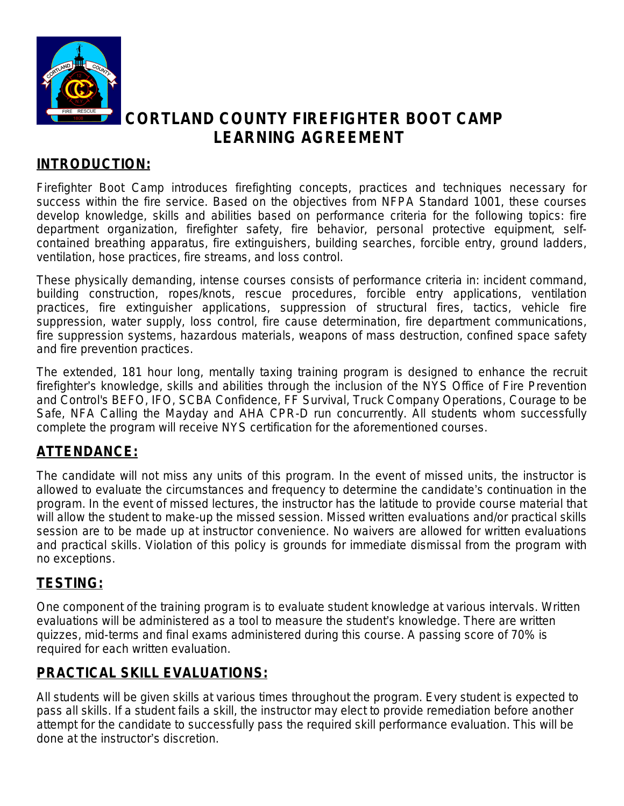

# **CORTLAND COUNTY FIREFIGHTER BOOT CAMP LEARNING AGREEMENT**

### **INTRODUCTION:**

Firefighter Boot Camp introduces firefighting concepts, practices and techniques necessary for success within the fire service. Based on the objectives from NFPA Standard 1001, these courses develop knowledge, skills and abilities based on performance criteria for the following topics: fire department organization, firefighter safety, fire behavior, personal protective equipment, selfcontained breathing apparatus, fire extinguishers, building searches, forcible entry, ground ladders, ventilation, hose practices, fire streams, and loss control.

These physically demanding, intense courses consists of performance criteria in: incident command, building construction, ropes/knots, rescue procedures, forcible entry applications, ventilation practices, fire extinguisher applications, suppression of structural fires, tactics, vehicle fire suppression, water supply, loss control, fire cause determination, fire department communications, fire suppression systems, hazardous materials, weapons of mass destruction, confined space safety and fire prevention practices.

The extended, 181 hour long, mentally taxing training program is designed to enhance the recruit firefighter's knowledge, skills and abilities through the inclusion of the NYS Office of Fire Prevention and Control's BEFO, IFO, SCBA Confidence, FF Survival, Truck Company Operations, Courage to be Safe, NFA Calling the Mayday and AHA CPR-D run concurrently. All students whom successfully complete the program will receive NYS certification for the aforementioned courses.

## **ATTENDANCE:**

The candidate will not miss any units of this program. In the event of missed units, the instructor is allowed to evaluate the circumstances and frequency to determine the candidate's continuation in the program. In the event of missed lectures, the instructor has the latitude to provide course material that will allow the student to make-up the missed session. Missed written evaluations and/or practical skills session are to be made up at instructor convenience. No waivers are allowed for written evaluations and practical skills. Violation of this policy is grounds for immediate dismissal from the program with no exceptions.

## **TESTING:**

One component of the training program is to evaluate student knowledge at various intervals. Written evaluations will be administered as a tool to measure the student's knowledge. There are written quizzes, mid-terms and final exams administered during this course. A passing score of 70% is required for each written evaluation.

## **PRACTICAL SKILL EVALUATIONS:**

All students will be given skills at various times throughout the program. Every student is expected to pass all skills. If a student fails a skill, the instructor may elect to provide remediation before another attempt for the candidate to successfully pass the required skill performance evaluation. This will be done at the instructor's discretion.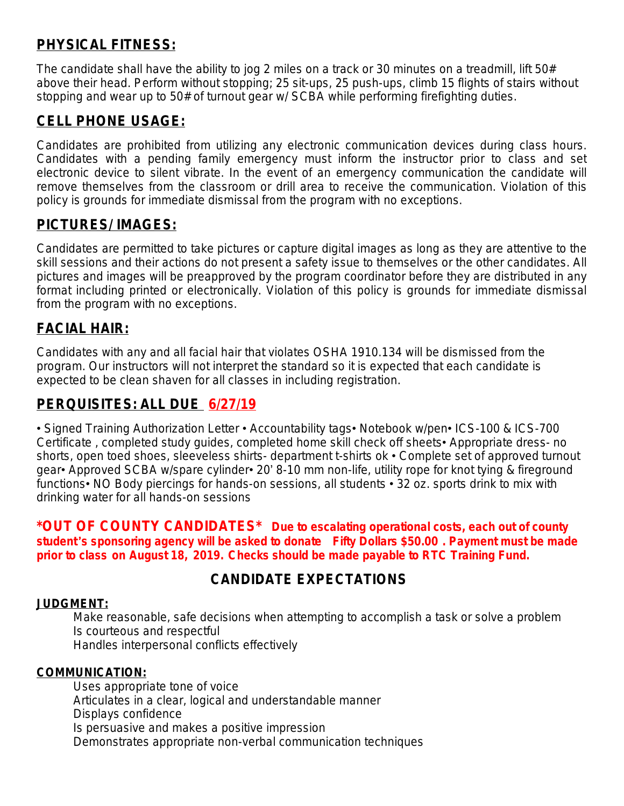## **PHYSICAL FITNESS:**

The candidate shall have the ability to jog 2 miles on a track or 30 minutes on a treadmill, lift 50# above their head. Perform without stopping; 25 sit-ups, 25 push-ups, climb 15 flights of stairs without stopping and wear up to 50# of turnout gear w/ SCBA while performing firefighting duties.

## **CELL PHONE USAGE:**

Candidates are prohibited from utilizing any electronic communication devices during class hours. Candidates with a pending family emergency must inform the instructor prior to class and set electronic device to silent vibrate. In the event of an emergency communication the candidate will remove themselves from the classroom or drill area to receive the communication. Violation of this policy is grounds for immediate dismissal from the program with no exceptions.

### **PICTURES/ IMAGES:**

Candidates are permitted to take pictures or capture digital images as long as they are attentive to the skill sessions and their actions do not present a safety issue to themselves or the other candidates. All pictures and images will be preapproved by the program coordinator before they are distributed in any format including printed or electronically. Violation of this policy is grounds for immediate dismissal from the program with no exceptions.

### **FACIAL HAIR:**

Candidates with any and all facial hair that violates OSHA 1910.134 will be dismissed from the program. Our instructors will not interpret the standard so it is expected that each candidate is expected to be clean shaven for all classes in including registration.

## **PERQUISITES: ALL DUE 6/27/19**

• Signed Training Authorization Letter • Accountability tags• Notebook w/pen• ICS-100 & ICS-700 Certificate , completed study guides, completed home skill check off sheets• Appropriate dress- no shorts, open toed shoes, sleeveless shirts- department t-shirts ok • Complete set of approved turnout gear• Approved SCBA w/spare cylinder• 20' 8-10 mm non-life, utility rope for knot tying & fireground functions• NO Body piercings for hands-on sessions, all students • 32 oz. sports drink to mix with drinking water for all hands-on sessions

**\*OUT OF COUNTY CANDIDATES\* Due to escalating operational costs, each out of county student**'**s sponsoring agency will be asked to donate Fifty Dollars \$50.00 . Payment must be made prior to class on August 18, 2019. Checks should be made payable to RTC Training Fund.**

### **CANDIDATE EXPECTATIONS**

### **JUDGMENT:**

Make reasonable, safe decisions when attempting to accomplish a task or solve a problem Is courteous and respectful Handles interpersonal conflicts effectively

### **COMMUNICATION:**

Uses appropriate tone of voice Articulates in a clear, logical and understandable manner Displays confidence Is persuasive and makes a positive impression Demonstrates appropriate non-verbal communication techniques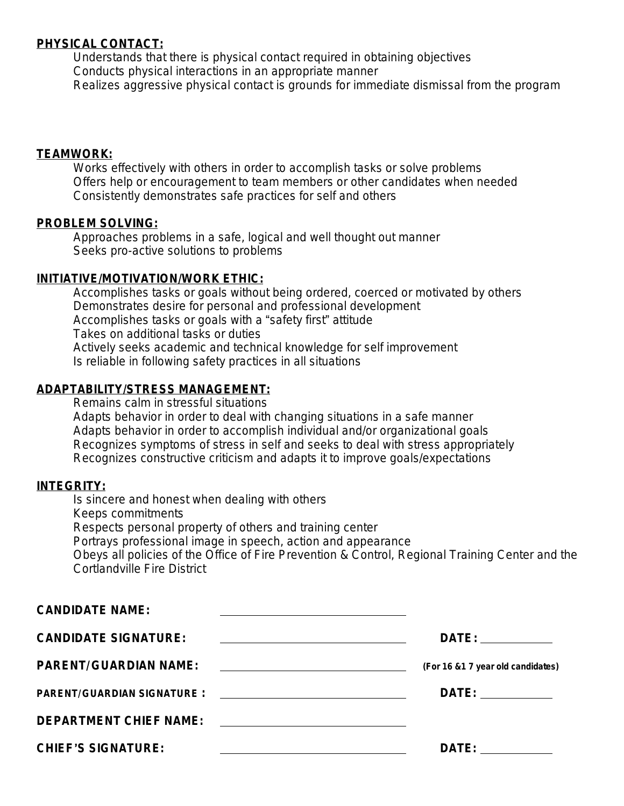### **PHYSICAL CONTACT:**

Understands that there is physical contact required in obtaining objectives Conducts physical interactions in an appropriate manner Realizes aggressive physical contact is grounds for immediate dismissal from the program

### **TEAMWORK:**

Works effectively with others in order to accomplish tasks or solve problems Offers help or encouragement to team members or other candidates when needed Consistently demonstrates safe practices for self and others

### **PROBLEM SOLVING:**

Approaches problems in a safe, logical and well thought out manner Seeks pro-active solutions to problems

### **INITIATIVE/MOTIVATION/WORK ETHIC:**

Accomplishes tasks or goals without being ordered, coerced or motivated by others Demonstrates desire for personal and professional development Accomplishes tasks or goals with a "safety first" attitude Takes on additional tasks or duties Actively seeks academic and technical knowledge for self improvement Is reliable in following safety practices in all situations

### **ADAPTABILITY/STRESS MANAGEMENT:**

Remains calm in stressful situations Adapts behavior in order to deal with changing situations in a safe manner Adapts behavior in order to accomplish individual and/or organizational goals Recognizes symptoms of stress in self and seeks to deal with stress appropriately Recognizes constructive criticism and adapts it to improve goals/expectations

### **INTEGRITY:**

Is sincere and honest when dealing with others Keeps commitments Respects personal property of others and training center Portrays professional image in speech, action and appearance Obeys all policies of the Office of Fire Prevention & Control, Regional Training Center and the Cortlandville Fire District

| <b>CANDIDATE NAME:</b><br><u> 1989 - Johann John Stein, markin fan it ferstjer fan de ferstjer fan it ferstjer fan it ferstjer fan it fers</u> |                                    |
|------------------------------------------------------------------------------------------------------------------------------------------------|------------------------------------|
| <b>CANDIDATE SIGNATURE:</b><br><u> 1989 - Andrea Stadt, fransk politiker (d. 1989)</u>                                                         | DATE: ____________                 |
| <b>PARENT/GUARDIAN NAME:</b>                                                                                                                   | (For 16 & 1 7 year old candidates) |
|                                                                                                                                                | DATE: _____________                |
| DEPARTMENT CHIEF NAME: <b>2008</b> 2009 2010 2021 2022 2023 2024                                                                               |                                    |
| <b>CHIEF'S SIGNATURE:</b><br><u> 1989 - Johann Barnett, fransk politiker (d. 1989)</u>                                                         | DATE: ___________                  |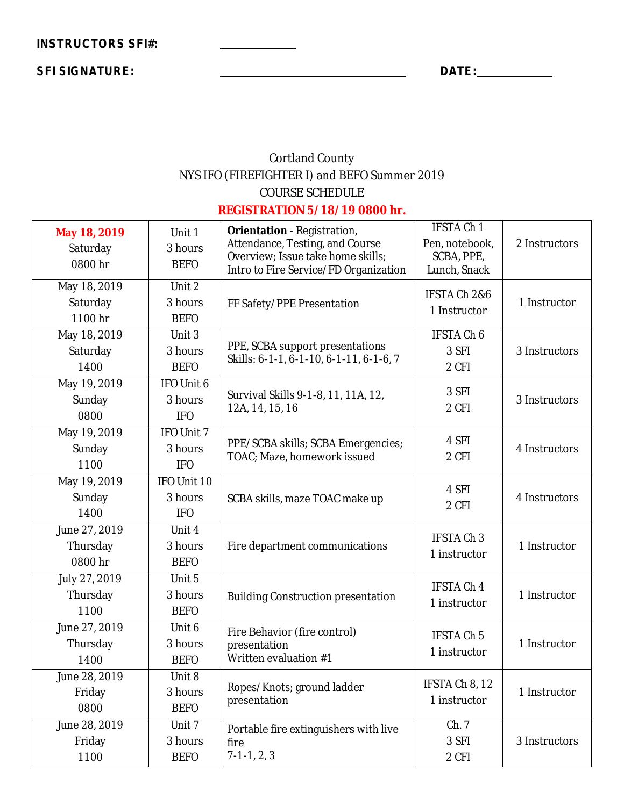**SFI SIGNATURE: DATE:**

## Cortland County NYS IFO (FIREFIGHTER I) and BEFO Summer 2019 COURSE SCHEDULE

### **REGISTRATION 5/18/19 0800 hr.**

| May 18, 2019<br>Saturday<br>0800 hr  | Unit 1<br>3 hours<br><b>BEFO</b>            | <b>Orientation</b> - Registration,<br>Attendance, Testing, and Course<br>Overview; Issue take home skills;<br>Intro to Fire Service/FD Organization | <b>IFSTA Ch 1</b><br>Pen, notebook,<br>SCBA, PPE,<br>Lunch, Snack | 2 Instructors |
|--------------------------------------|---------------------------------------------|-----------------------------------------------------------------------------------------------------------------------------------------------------|-------------------------------------------------------------------|---------------|
| May 18, 2019<br>Saturday<br>1100 hr  | Unit 2<br>3 hours<br><b>BEFO</b>            | FF Safety/PPE Presentation                                                                                                                          | IFSTA Ch 2&6<br>1 Instructor                                      | 1 Instructor  |
| May 18, 2019<br>Saturday<br>1400     | Unit 3<br>3 hours<br><b>BEFO</b>            | PPE, SCBA support presentations<br>Skills: 6-1-1, 6-1-10, 6-1-11, 6-1-6, 7                                                                          | <b>IFSTA Ch 6</b><br>3 SFI<br>2 CFI                               | 3 Instructors |
| May 19, 2019<br>Sunday<br>0800       | IFO Unit 6<br>3 hours<br><b>IFO</b>         | Survival Skills 9-1-8, 11, 11A, 12,<br>12A, 14, 15, 16                                                                                              | 3 SFI<br>2 CFI                                                    | 3 Instructors |
| May 19, 2019<br>Sunday<br>1100       | IFO Unit 7<br>3 hours<br><b>IFO</b>         | PPE/SCBA skills; SCBA Emergencies;<br>TOAC; Maze, homework issued                                                                                   | 4 SFI<br>2 CFI                                                    | 4 Instructors |
| May 19, 2019<br>Sunday<br>1400       | IFO Unit 10<br>3 hours<br><b>IFO</b>        | SCBA skills, maze TOAC make up                                                                                                                      | 4 SFI<br>2 CFI                                                    | 4 Instructors |
| June 27, 2019<br>Thursday<br>0800 hr | Unit 4<br>3 hours<br><b>BEFO</b>            | Fire department communications                                                                                                                      | <b>IFSTA Ch 3</b><br>1 instructor                                 | 1 Instructor  |
| July 27, 2019<br>Thursday<br>1100    | Unit 5<br>3 hours<br><b>BEFO</b>            | <b>Building Construction presentation</b>                                                                                                           | <b>IFSTA Ch 4</b><br>1 instructor                                 | 1 Instructor  |
| June 27, 2019<br>Thursday<br>1400    | Unit <sub>6</sub><br>3 hours<br><b>BEFO</b> | Fire Behavior (fire control)<br>presentation<br>Written evaluation #1                                                                               | IFSTA Ch 5<br>1 instructor                                        | 1 Instructor  |
| June 28, 2019<br>Friday<br>0800      | Unit 8<br>3 hours<br><b>BEFO</b>            | Ropes/Knots; ground ladder<br>presentation                                                                                                          | IFSTA Ch 8, 12<br>1 instructor                                    | 1 Instructor  |
| June 28, 2019<br>Friday<br>1100      | Unit 7<br>3 hours<br><b>BEFO</b>            | Portable fire extinguishers with live<br>fire<br>$7-1-1, 2, 3$                                                                                      | Ch. 7<br>3 SFI<br>2 CFI                                           | 3 Instructors |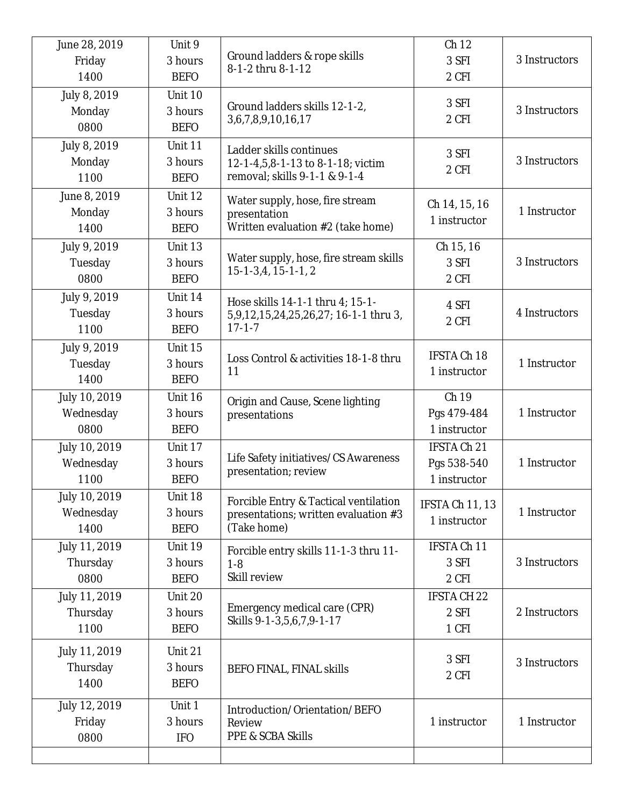| June 28, 2019<br>Friday<br>1400    | Unit 9<br>3 hours<br><b>BEFO</b>  | Ground ladders & rope skills<br>8-1-2 thru 8-1-12                                             | Ch <sub>12</sub><br>3 SFI<br>2 CFI         | 3 Instructors |
|------------------------------------|-----------------------------------|-----------------------------------------------------------------------------------------------|--------------------------------------------|---------------|
| July 8, 2019<br>Monday<br>0800     | Unit 10<br>3 hours<br><b>BEFO</b> | Ground ladders skills 12-1-2,<br>3,6,7,8,9,10,16,17                                           | 3 SFI<br>2 CFI                             | 3 Instructors |
| July 8, 2019<br>Monday<br>1100     | Unit 11<br>3 hours<br><b>BEFO</b> | Ladder skills continues<br>12-1-4,5,8-1-13 to 8-1-18; victim<br>removal; skills 9-1-1 & 9-1-4 | 3 SFI<br>2 CFI                             | 3 Instructors |
| June 8, 2019<br>Monday<br>1400     | Unit 12<br>3 hours<br><b>BEFO</b> | Water supply, hose, fire stream<br>presentation<br>Written evaluation #2 (take home)          | Ch 14, 15, 16<br>1 instructor              | 1 Instructor  |
| July 9, 2019<br>Tuesday<br>0800    | Unit 13<br>3 hours<br><b>BEFO</b> | Water supply, hose, fire stream skills<br>$15-1-3,4, 15-1-1, 2$                               | Ch 15, 16<br>3 SFI<br>2 CFI                | 3 Instructors |
| July 9, 2019<br>Tuesday<br>1100    | Unit 14<br>3 hours<br><b>BEFO</b> | Hose skills 14-1-1 thru 4; 15-1-<br>5,9,12,15,24,25,26,27; 16-1-1 thru 3,<br>$17 - 1 - 7$     | 4 SFI<br>2 CFI                             | 4 Instructors |
| July 9, 2019<br>Tuesday<br>1400    | Unit 15<br>3 hours<br><b>BEFO</b> | Loss Control & activities 18-1-8 thru<br>11                                                   | <b>IFSTA Ch 18</b><br>1 instructor         | 1 Instructor  |
| July 10, 2019<br>Wednesday<br>0800 | Unit 16<br>3 hours<br><b>BEFO</b> | Origin and Cause, Scene lighting<br>presentations                                             | Ch 19<br>Pgs 479-484<br>1 instructor       | 1 Instructor  |
| July 10, 2019<br>Wednesday<br>1100 | Unit 17<br>3 hours<br><b>BEFO</b> | Life Safety initiatives/CS Awareness<br>presentation; review                                  | IFSTA Ch 21<br>Pgs 538-540<br>1 instructor | 1 Instructor  |
| July 10, 2019<br>Wednesday<br>1400 | Unit 18<br>3 hours<br><b>BEFO</b> | Forcible Entry & Tactical ventilation<br>presentations; written evaluation #3<br>(Take home)  | IFSTA Ch 11, 13<br>1 instructor            | 1 Instructor  |
| July 11, 2019<br>Thursday<br>0800  | Unit 19<br>3 hours<br><b>BEFO</b> | Forcible entry skills 11-1-3 thru 11-<br>$1-8$<br>Skill review                                | IFSTA Ch 11<br>3 SFI<br>2 CFI              | 3 Instructors |
| July 11, 2019<br>Thursday<br>1100  | Unit 20<br>3 hours<br><b>BEFO</b> | Emergency medical care (CPR)<br>Skills 9-1-3,5,6,7,9-1-17                                     | <b>IFSTA CH 22</b><br>2 SFI<br>1 CFI       | 2 Instructors |
| July 11, 2019<br>Thursday<br>1400  | Unit 21<br>3 hours<br><b>BEFO</b> | <b>BEFO FINAL, FINAL skills</b>                                                               | 3 SFI<br>2 CFI                             | 3 Instructors |
| July 12, 2019<br>Friday<br>0800    | Unit 1<br>3 hours<br><b>IFO</b>   | Introduction/Orientation/BEFO<br>Review<br><b>PPE &amp; SCBA Skills</b>                       | 1 instructor                               | 1 Instructor  |
|                                    |                                   |                                                                                               |                                            |               |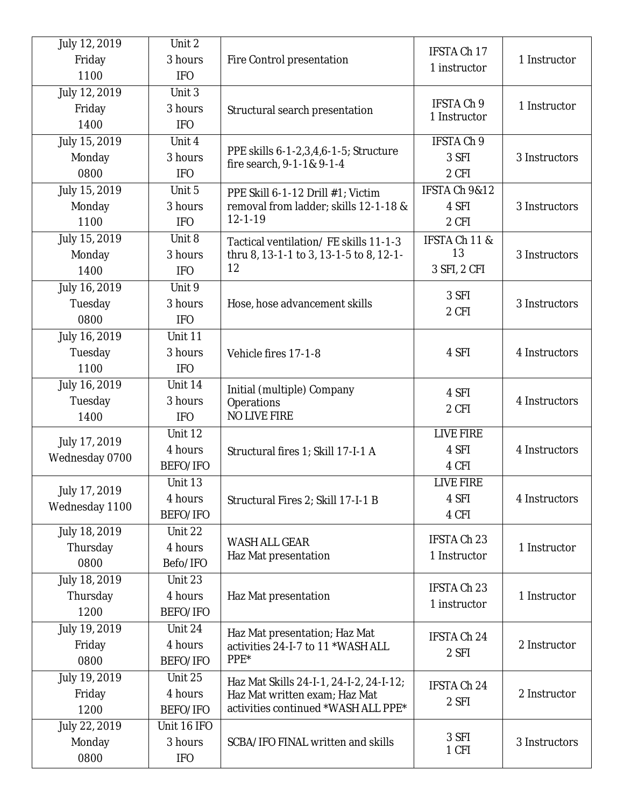| July 12, 2019  | Unit 2      |                                                                    | IFSTA Ch 17                |               |
|----------------|-------------|--------------------------------------------------------------------|----------------------------|---------------|
| Friday         | 3 hours     | Fire Control presentation                                          | 1 instructor               | 1 Instructor  |
| 1100           | <b>IFO</b>  |                                                                    |                            |               |
| July 12, 2019  | Unit 3      |                                                                    |                            |               |
| Friday         | 3 hours     | Structural search presentation                                     | IFSTA Ch 9<br>1 Instructor | 1 Instructor  |
| 1400           | <b>IFO</b>  |                                                                    |                            |               |
| July 15, 2019  | Unit 4      |                                                                    | <b>IFSTA Ch 9</b>          |               |
| Monday         | 3 hours     | PPE skills 6-1-2,3,4,6-1-5; Structure<br>fire search, 9-1-1& 9-1-4 | 3 SFI                      | 3 Instructors |
| 0800           | <b>IFO</b>  |                                                                    | 2 CFI                      |               |
| July 15, 2019  | Unit 5      | PPE Skill 6-1-12 Drill #1; Victim                                  | IFSTA Ch 9&12              |               |
| Monday         | 3 hours     | removal from ladder; skills 12-1-18 &                              | 4 SFI                      | 3 Instructors |
| 1100           | <b>IFO</b>  | $12 - 1 - 19$                                                      | 2 CFI                      |               |
| July 15, 2019  | Unit 8      | Tactical ventilation/FE skills 11-1-3                              | IFSTA Ch 11 &              |               |
| Monday         | 3 hours     | thru 8, 13-1-1 to 3, 13-1-5 to 8, 12-1-                            | 13                         | 3 Instructors |
| 1400           | <b>IFO</b>  | 12                                                                 | 3 SFI, 2 CFI               |               |
| July 16, 2019  | Unit 9      |                                                                    |                            |               |
| Tuesday        | 3 hours     | Hose, hose advancement skills                                      | 3 SFI                      | 3 Instructors |
| 0800           | <b>IFO</b>  |                                                                    | 2 CFI                      |               |
| July 16, 2019  | Unit 11     |                                                                    |                            |               |
| Tuesday        | 3 hours     | Vehicle fires 17-1-8                                               | 4 SFI                      | 4 Instructors |
| 1100           | <b>IFO</b>  |                                                                    |                            |               |
| July 16, 2019  | Unit 14     |                                                                    |                            |               |
| Tuesday        | 3 hours     | Initial (multiple) Company<br>Operations                           | 4 SFI                      | 4 Instructors |
| 1400           | <b>IFO</b>  | <b>NO LIVE FIRE</b>                                                | 2 CFI                      |               |
|                | Unit 12     |                                                                    | <b>LIVE FIRE</b>           |               |
| July 17, 2019  | 4 hours     |                                                                    | 4 SFI                      | 4 Instructors |
| Wednesday 0700 | BEFO/IFO    | Structural fires 1; Skill 17-I-1 A                                 | 4 CFI                      |               |
|                | Unit 13     |                                                                    | <b>LIVE FIRE</b>           |               |
| July 17, 2019  | 4 hours     |                                                                    | 4 SFI                      | 4 Instructors |
| Wednesday 1100 |             | Structural Fires 2; Skill 17-I-1 B                                 |                            |               |
|                | BEFO/IFO    |                                                                    | 4 CFI                      |               |
| July 18, 2019  | Unit 22     | <b>WASH ALL GEAR</b>                                               | IFSTA Ch 23                |               |
| Thursday       | 4 hours     | Haz Mat presentation                                               | 1 Instructor               | 1 Instructor  |
| 0800           | Befo/IFO    |                                                                    |                            |               |
| July 18, 2019  | Unit 23     |                                                                    | IFSTA Ch 23                |               |
| Thursday       | 4 hours     | Haz Mat presentation                                               | 1 instructor               | 1 Instructor  |
| 1200           | BEFO/IFO    |                                                                    |                            |               |
| July 19, 2019  | Unit 24     | Haz Mat presentation; Haz Mat                                      | IFSTA Ch 24                |               |
| Friday         | 4 hours     | activities 24-I-7 to 11 *WASH ALL                                  | 2 SFI                      | 2 Instructor  |
| 0800           | BEFO/IFO    | PPE*                                                               |                            |               |
| July 19, 2019  | Unit 25     | Haz Mat Skills 24-I-1, 24-I-2, 24-I-12;                            | IFSTA Ch 24                |               |
| Friday         | 4 hours     | Haz Mat written exam; Haz Mat                                      | 2 SFI                      | 2 Instructor  |
| 1200           | BEFO/IFO    | activities continued *WASH ALL PPE*                                |                            |               |
| July 22, 2019  | Unit 16 IFO |                                                                    |                            |               |
| Monday         | 3 hours     | SCBA/IFO FINAL written and skills                                  | 3 SFI<br>1 CFI             | 3 Instructors |
| 0800           | <b>IFO</b>  |                                                                    |                            |               |